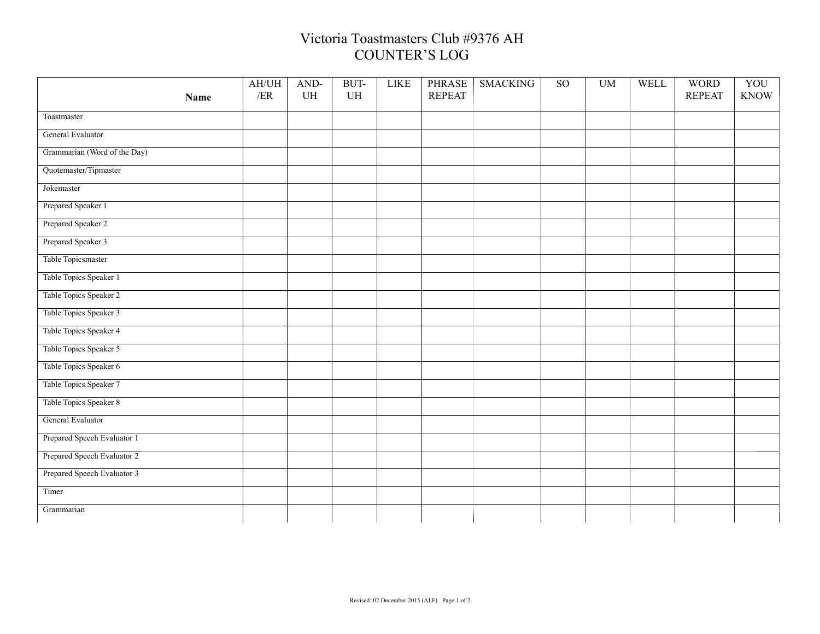## Victoria Toastmasters Club #9376 AH COUNTER'S LOG

|                              | AH/UH<br>/ER | AND-<br>UH | BUT-<br>UH | <b>LIKE</b> | <b>PHRASE</b><br><b>REPEAT</b> | <b>SMACKING</b> | <b>SO</b> | <b>UM</b> | WELL | <b>WORD</b><br><b>REPEAT</b> | YOU<br><b>KNOW</b> |
|------------------------------|--------------|------------|------------|-------------|--------------------------------|-----------------|-----------|-----------|------|------------------------------|--------------------|
| <b>Name</b>                  |              |            |            |             |                                |                 |           |           |      |                              |                    |
| Toastmaster                  |              |            |            |             |                                |                 |           |           |      |                              |                    |
| General Evaluator            |              |            |            |             |                                |                 |           |           |      |                              |                    |
| Grammarian (Word of the Day) |              |            |            |             |                                |                 |           |           |      |                              |                    |
| Quotemaster/Tipmaster        |              |            |            |             |                                |                 |           |           |      |                              |                    |
| Jokemaster                   |              |            |            |             |                                |                 |           |           |      |                              |                    |
| Prepared Speaker 1           |              |            |            |             |                                |                 |           |           |      |                              |                    |
| Prepared Speaker 2           |              |            |            |             |                                |                 |           |           |      |                              |                    |
| Prepared Speaker 3           |              |            |            |             |                                |                 |           |           |      |                              |                    |
| Table Topicsmaster           |              |            |            |             |                                |                 |           |           |      |                              |                    |
| Table Topics Speaker 1       |              |            |            |             |                                |                 |           |           |      |                              |                    |
| Table Topics Speaker 2       |              |            |            |             |                                |                 |           |           |      |                              |                    |
| Table Topics Speaker 3       |              |            |            |             |                                |                 |           |           |      |                              |                    |
| Table Topics Speaker 4       |              |            |            |             |                                |                 |           |           |      |                              |                    |
| Table Topics Speaker 5       |              |            |            |             |                                |                 |           |           |      |                              |                    |
| Table Topics Speaker 6       |              |            |            |             |                                |                 |           |           |      |                              |                    |
| Table Topics Speaker 7       |              |            |            |             |                                |                 |           |           |      |                              |                    |
| Table Topics Speaker 8       |              |            |            |             |                                |                 |           |           |      |                              |                    |
| General Evaluator            |              |            |            |             |                                |                 |           |           |      |                              |                    |
| Prepared Speech Evaluator 1  |              |            |            |             |                                |                 |           |           |      |                              |                    |
| Prepared Speech Evaluator 2  |              |            |            |             |                                |                 |           |           |      |                              |                    |
| Prepared Speech Evaluator 3  |              |            |            |             |                                |                 |           |           |      |                              |                    |
| Timer                        |              |            |            |             |                                |                 |           |           |      |                              |                    |
| Grammarian                   |              |            |            |             |                                |                 |           |           |      |                              |                    |